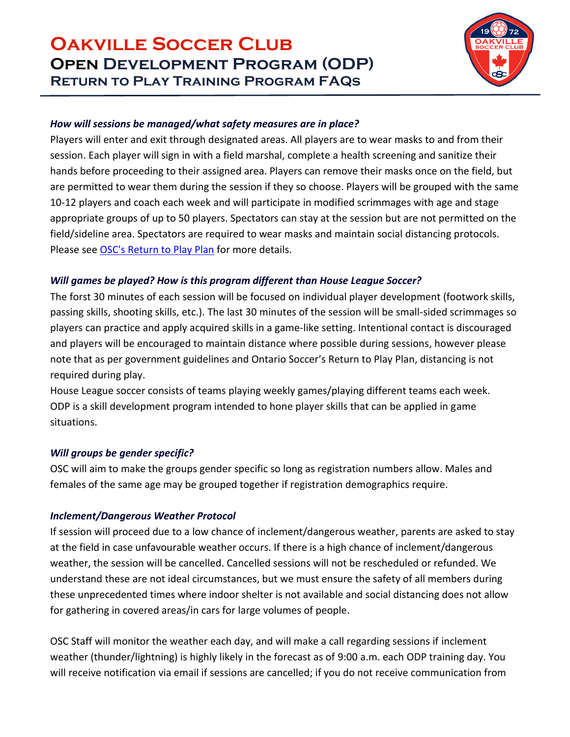

#### *How will sessions be managed/what safety measures are in place?*

Players will enter and exit through designated areas. All players are to wear masks to and from their session. Each player will sign in with a field marshal, complete a health screening and sanitize their hands before proceeding to their assigned area. Players can remove their masks once on the field, but are permitted to wear them during the session if they so choose. Players will be grouped with the same 10-12 players and coach each week and will participate in modified scrimmages with age and stage appropriate groups of up to 50 players. Spectators can stay at the session but are not permitted on the field/sideline area. Spectators are required to wear masks and maintain social distancing protocols. Please see OSC's [Return](https://www.oakvillesoccer.ca/images/publications/org-policies/return-to-play-plan-phase-2.pdf?idU=1) to Play Plan for more details.

### *Will games be played? How is this program different than House League Soccer?*

The forst 30 minutes of each session will be focused on individual player development (footwork skills, passing skills, shooting skills, etc.). The last 30 minutes of the session will be small-sided scrimmages so players can practice and apply acquired skills in a game-like setting. Intentional contact is discouraged and players will be encouraged to maintain distance where possible during sessions, however please note that as per government guidelines and Ontario Soccer's Return to Play Plan, distancing is not required during play.

House League soccer consists of teams playing weekly games/playing different teams each week. ODP is a skill development program intended to hone player skills that can be applied in game situations.

### *Will groups be gender specific?*

OSC will aim to make the groups gender specific so long as registration numbers allow. Males and females of the same age may be grouped together if registration demographics require.

### *Inclement/Dangerous Weather Protocol*

If session will proceed due to a low chance of inclement/dangerous weather, parents are asked to stay at the field in case unfavourable weather occurs. If there is a high chance of inclement/dangerous weather, the session will be cancelled. Cancelled sessions will not be rescheduled or refunded. We understand these are not ideal circumstances, but we must ensure the safety of all members during these unprecedented times where indoor shelter is not available and social distancing does not allow for gathering in covered areas/in cars for large volumes of people.

OSC Staff will monitor the weather each day, and will make a call regarding sessions if inclement weather (thunder/lightning) is highly likely in the forecast as of 9:00 a.m. each ODP training day. You will receive notification via email if sessions are cancelled; if you do not receive communication from